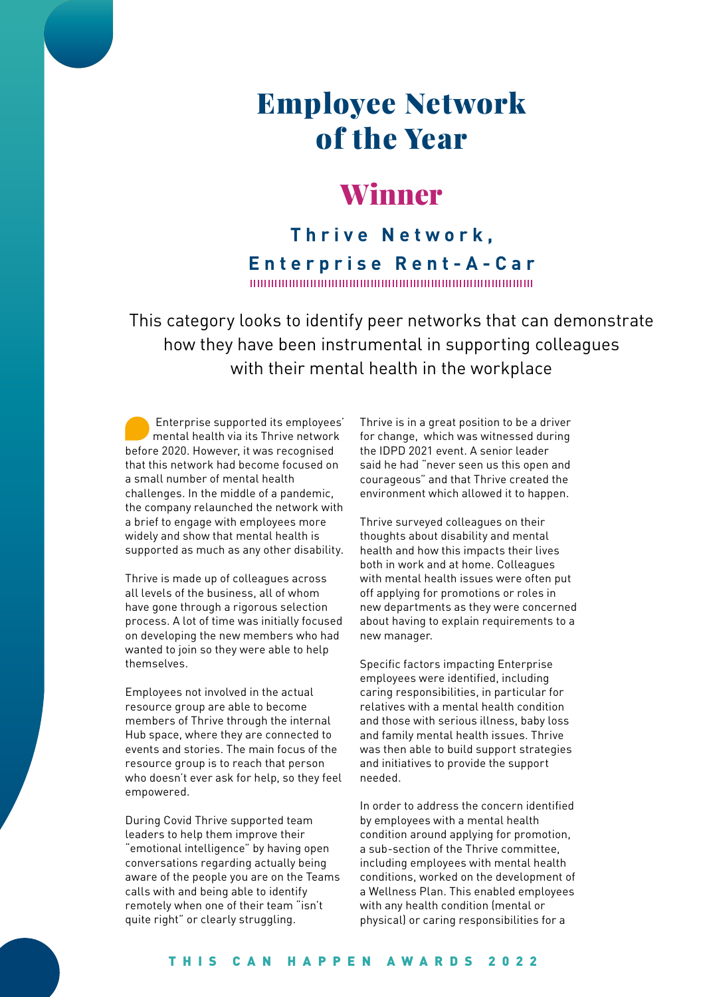# Employee Network of the Year

## Winner

**Thrive Network, Enterprise Rent-A-Car**

This category looks to identify peer networks that can demonstrate how they have been instrumental in supporting colleagues with their mental health in the workplace

 Enterprise supported its employees' mental health via its Thrive network before 2020. However, it was recognised that this network had become focused on a small number of mental health challenges. In the middle of a pandemic, the company relaunched the network with a brief to engage with employees more widely and show that mental health is supported as much as any other disability.

Thrive is made up of colleagues across all levels of the business, all of whom have gone through a rigorous selection process. A lot of time was initially focused on developing the new members who had wanted to join so they were able to help themselves.

Employees not involved in the actual resource group are able to become members of Thrive through the internal Hub space, where they are connected to events and stories. The main focus of the resource group is to reach that person who doesn't ever ask for help, so they feel empowered.

During Covid Thrive supported team leaders to help them improve their "emotional intelligence" by having open conversations regarding actually being aware of the people you are on the Teams calls with and being able to identify remotely when one of their team "isn't quite right" or clearly struggling.

Thrive is in a great position to be a driver for change, which was witnessed during the IDPD 2021 event. A senior leader said he had "never seen us this open and courageous" and that Thrive created the environment which allowed it to happen.

Thrive surveyed colleagues on their thoughts about disability and mental health and how this impacts their lives both in work and at home. Colleagues with mental health issues were often put off applying for promotions or roles in new departments as they were concerned about having to explain requirements to a new manager.

Specific factors impacting Enterprise employees were identified, including caring responsibilities, in particular for relatives with a mental health condition and those with serious illness, baby loss and family mental health issues. Thrive was then able to build support strategies and initiatives to provide the support needed.

In order to address the concern identified by employees with a mental health condition around applying for promotion, a sub-section of the Thrive committee, including employees with mental health conditions, worked on the development of a Wellness Plan. This enabled employees with any health condition (mental or physical) or caring responsibilities for a

#### THIS CAN HAPPEN AWARDS 2022